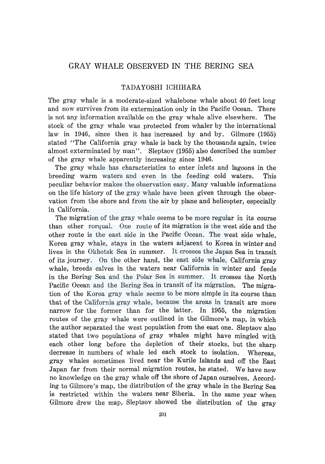## GRAY WHALE OBSERVED IN THE BERING SEA

## TADAYOSHI ICHIHARA

The gray whale is a moderate-sized whalebone whale about 40 feet long and now survives from its extermination only in the Pacific Ocean. There is not any information available on the gray whale alive elsewhere. The stock of the gray whale was protected from whaler by the international law in 1946, since then it has increased by and by. Gilmore (1955) stated "The California gray whale is back by the thousands again, twice almost exterminated by man". Sleptsov (1955) also described the number of the gray whale apparently increasing since 1946.

The gray whale has characteristics to enter inlets and lagoons in the breeding warm waters and even in the feeding cold waters. This peculiar behavior makes the observation easy. Many valuable informations on the life history of the gray whale have been given through the observation from the shore and from the air by plane and helicopter, especially in California.

The migration of the gray whale seems to be more regular in its course than other rorqual. One route of its migration is the west side and the other route is the east side in the Pacific Ocean. The west side whale, Korea gray whale, stays in the waters adjacent to Korea in winter and lives in the Okhotsk Sea in summer. It crosses the Japan Sea in transit of its journey. On the other hand, the east side whale, California gray whale, breeds calves in the waters near California in winter and feeds in the Bering Sea and the Polar Sea in summer. It crosses the North Pacific Ocean and the Bering Sea in transit of its migration. The migration of the Korea gray whale seems to be more simple in its course than that of the California gray whale, because the areas in transit are more narrow for the former than for the latter. In 1955, the migration routes of the gray whale were outlined in the Gilmore's map, in which the author separated the west population from the east one. Sleptsov also stated that two populations of gray whales might have mingled with each other long before the depletion of their stocks, but the sharp decrease in numbers of whale led each stock to isolation. Whereas, gray whales sometimes lived near the Kurile Islands and off the East Japan far from their normal migration routes, he stated. We have now no knowledge on the gray whale off the shore of Japan ourselves. According to Gilmore's map, the distribution of the gray whale in the Bering Sea is restricted within the waters near Siberia. In the same year when Gilmore drew the map, Sleptsov showed the distribution of the gray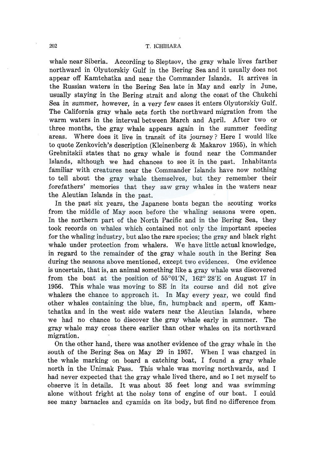whale near Siberia. According to Sleptsov, the gray whale lives farther northward in Olyutorskiy Gulf in the Bering Sea and it usually does not appear off Kamtchatka and near the Commander Islands. It arrives in the Russian waters in the Bering Sea late in May and early in June, usually staying in the Bering strait and along the coast of the Chukchi Sea in summer, however, in a very few cases it enters Olyutorskiy Gulf. The California gray whale sets forth the northward migration from the warm waters in the interval between March and April. After two or three months, the gray whale appears again in the summer feeding areas. Where does it live in transit of its journey? Here I would like to quote Zenkovich's description (Kleinenberg & Makarov 1955), in which Grebnitskii states that no gray whale is found near the Commander Islands, although we had chances to see it in the past. Inhabitants familiar with creatures near the Commander Islands have now nothing to tell about the gray whale themselves, but they remember their forefathers' memories that they saw gray whales in the waters near the Aleutian Islands in the past.

In the past six years, the Japanese boats began the scouting works from the middle of May soon before the whaling seasons were open. In the northern part of the North Pacific and in the Bering Sea, they took records on whales which contained not only the important species for the whaling industry, but also the rare species; the gray and black right whale under protection from whalers. We have little actual knowledge, in regard to the remainder of the gray whale south in the Bering Sea during the seasons above mentioned, except two evidences. One evidence is uncertain, that is, an animal something like a gray whale was discovered from the boat at the position of  $55^{\circ}01'N$ ,  $162^{\circ}28'E$  on August 17 in 1956. This whale was moving to SE in its course and did not give whalers the chance to approach it. In May every year, we could find other whales containing the blue, fin, humpback and sperm, off Kamtchatka and in the west side waters near the Aleutian Islands, where we had no chance to discover the gray whale early in summer. The gray whale may cross there earlier than other whales on its northward migration.

On the other hand, there was another evidence of the gray whale in the south of the Bering Sea on May 29 in 1957. When I was charged in the whale marking on board a catching boat, I found a gray whale north in the Unimak Pass. This whale was moving northwards, and I had never expected that the gray whale lived there, and so I set myself to observe it in details. It was about 35 feet long and was swimming alone without fright at the noisy tons of engine of our boat. I could see many barnacles and cyamids on its body, but find no difference from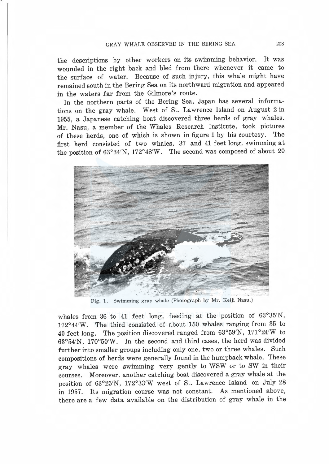the descriptions by other workers on its swimming behavior. It was wounded in the right back and bled from there whenever it came to the surface of water. Because of such injury, this whale might have remained south in the Bering Sea on its northward migration and appeared in the waters far from the Gilmore's route.

In the northern parts of the Bering Sea, Japan has several informations on the gray whale. West of St. Lawrence Island on August 2 in 1955, a Japanese catching boat discovered three herds of gray whales. Mr. Nasu, a member of the Whales Research Institute, took pictures of these herds, one of which is shown in figure 1 by his courtesy. The first herd consisted of two whales, 37 and 41 feet long, swimming at the position of 63°34'N, 172°48'W. The second was composed of about 20



Fig. 1. Swimming gray whale (Photograph by Mr. Keiji Nasu.)

whales from 36 to 41 feet long, feeding at the position of 63°35'N, 172°44'W. The third consisted of about 150 whales ranging from 35 to 40 feet long. The position discovered ranged from 63°59'N, 171°24'W to 63°54'N, 170°50'W. In the second and third cases, the herd was divided further into smaller groups including only one, two or three whales. Such compositions of herds were generally found in the humpback whale. These gray whales were swimming very gently to WSW or to SW in their courses. Moreover, another catching boat discovered a gray whale at the position of 63°25'N, 172°33'W west of St. Lawrence Island on July 28 in 1957. Its migration course was not constant. As mentioned above, there are a few data available on the distribution of gray whale in the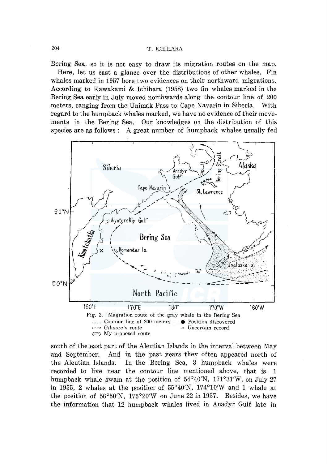## 204 T. ICHIHARA

Bering Sea, so it is not easy to draw its migration routes on the map. Here, let us cast a glance over the distributions of other whales. Fin whales marked in 1957 bore two evidences on their northward migrations. According to Kawakami & Ichihara (1958) two fin whales marked in the Bering Sea early in July moved northwards along the contour line of 200 meters, ranging from the Unimak Pass to Cape Navarin in Siberia. With regard to the humpback whales marked, we have no evidence of their movements in the Bering Sea. Our knowledges on the distribution of this species are as follows: A great number of humpback whales usually fed



south of the east part of the Aleutian Islands in the interval between May and September. And in the past years they often appeared north of the Aleutian Islands. In the Bering Sea, 3 humpback whales were recorded to live near the contour line mentioned above, that is, 1 humpback whale swam at the position of 54°40'N, 171°3l'W, on July 27 in 1955, 2 whales at the position of  $55^{\circ}40'$ N,  $174^{\circ}10'$ W and 1 whale at the position of 56°50'N, 175°20'W on June 22 in 1957. Besides, we have the information that 12 humpback whales lived in Anadyr Gulf late in